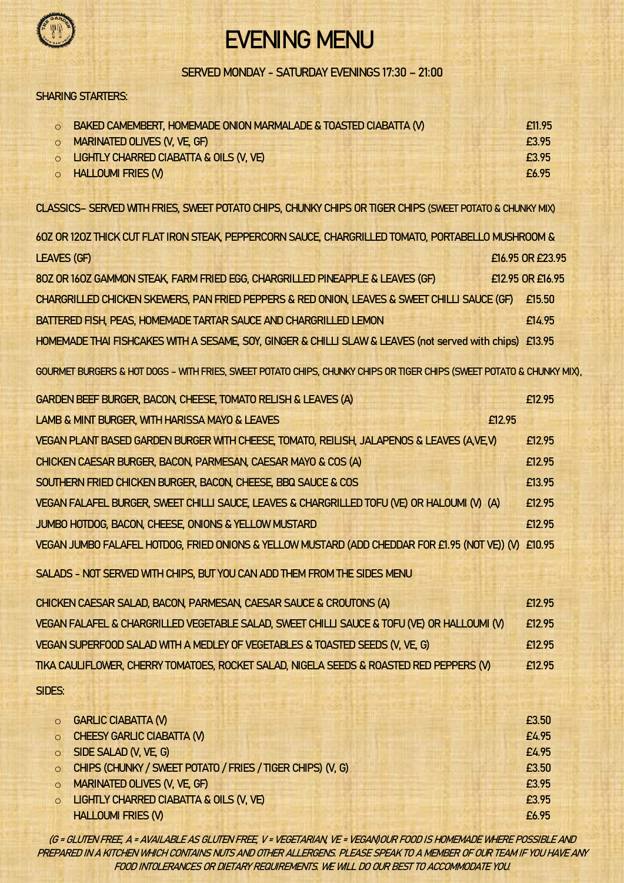

# EVENING MENU

#### SERVED MONDAY - SATURDAY EVENINGS 17:30 – 21:00

#### SHARING STARTERS:

| O BAKED CAMEMBERT, HOMEMADE ONION MARMALADE & TOASTED CIABATTA (V) | £11.95 |
|--------------------------------------------------------------------|--------|
| O MARINATED OLIVES (V, VE, GF)                                     | £3.95  |
| O LIGHTLY CHARRED CIABATTA & OILS (V, VE)                          | £3.95  |
| O HALLOUMI FRIES (V)                                               | £6.95  |

CLASSICS– SERVED WITH FRIES, SWEET POTATO CHIPS, CHUNKY CHIPS OR TIGER CHIPS (SWEET POTATO & CHUNKY MIX)

| 60Z OR 120Z THICK CUT FLAT IRON STEAK, PEPPERCORN SAUCE, CHARGRILLED TOMATO, PORTABELLO MUSHROOM &                   |                  |  |  |
|----------------------------------------------------------------------------------------------------------------------|------------------|--|--|
| <b>LEAVES (GF)</b>                                                                                                   | £16.95 OR £23.95 |  |  |
| 80Z OR 160Z GAMMON STEAK, FARM FRIED EGG, CHARGRILLED PINEAPPLE & LEAVES (GF)                                        | £12.95 OR £16.95 |  |  |
| CHARGRILLED CHICKEN SKEWERS, PAN FRIED PEPPERS & RED ONION, LEAVES & SWEET CHILLI SAUCE (GF)                         | £15.50           |  |  |
| BATTERED FISH, PEAS, HOMEMADE TARTAR SAUCE AND CHARGRILLED LEMON                                                     | £14.95           |  |  |
| HOMEMADE THAI FISHCAKES WITH A SESAME, SOY, GINGER & CHILLI SLAW & LEAVES (not served with chips) £13.95             |                  |  |  |
| GOURMET BURGERS & HOT DOGS - WITH FRIES, SWEET POTATO CHIPS, CHUNKY CHIPS OR TIGER CHIPS (SWEET POTATO & CHUNKY MIX) |                  |  |  |
| GARDEN BEEF BURGER, BACON, CHEESE, TOMATO RELISH & LEAVES (A)                                                        | £12.95           |  |  |
| LAMB & MINT BURGER, WITH HARISSA MAYO & LEAVES<br>£12.95                                                             |                  |  |  |
| VEGAN PLANT BASED GARDEN BURGER WITH CHEESE, TOMATO, REILISH, JALAPENOS & LEAVES (AVE,V)                             | F12 95           |  |  |
| CHICKEN CAESAR BURGER, BACON, PARMESAN, CAESAR MAYO & COS (A)                                                        | £12.95           |  |  |
| SOUTHERN FRIED CHICKEN BURGER, BACON, CHEESE, BBQ SAUCE & COS                                                        | £13.95           |  |  |
| VEGAN FALAFEL BURGER, SWEET CHILLI SAUCE, LEAVES & CHARGRILLED TOFU (VE) OR HALOUMI (V) (A)                          | £12.95           |  |  |
| JUMBO HOTDOG, BACON, CHEESE, ONIONS & YELLOW MUSTARD                                                                 | £12.95           |  |  |
| VEGAN JUMBO FALAFEL HOTDOG, FRIED ONIONS & YELLOW MUSTARD (ADD CHEDDAR FOR £1.95 (NOT VE)) (V) £10.95                |                  |  |  |
| SALADS - NOT SERVED WITH CHIPS, BUT YOU CAN ADD THEM FROM THE SIDES MENU                                             |                  |  |  |
| CHICKEN CAESAR SALAD, BACON, PARMESAN, CAESAR SAUCE & CROUTONS (A)                                                   | £12.95           |  |  |
| VEGAN FALAFEL & CHARGRILLED VEGETABLE SALAD, SWEET CHILLI SAUCE & TOFU (VE) OR HALLOUMI (V)                          | £12.95           |  |  |

SIDES:

| O GARLIC CIABATTA (V)                                        | £3.50 |
|--------------------------------------------------------------|-------|
| O CHEESY GARLIC CIABATTA (V)                                 | £4.95 |
| O SIDE SALAD (V, VE, G)                                      | £4.95 |
| O CHIPS (CHUNKY / SWEET POTATO / FRIES / TIGER CHIPS) (V, G) | £3.50 |
| O MARINATED OLIVES (V, VE, GF)                               | £3.95 |
| O LIGHTLY CHARRED CIABATTA & OILS (V, VE)                    | £3.95 |
| <b>HALLOUMI FRIES (V)</b>                                    | £6.95 |

VEGAN SUPERFOOD SALAD WITH A MEDLEY OF VEGETABLES & TOASTED SEEDS (V, VE, G) E12.95 TIKA CAULIFLOWER, CHERRY TOMATOES, ROCKET SALAD, NIGELA SEEDS & ROASTED RED PEPPERS (V) £12.95

(G = GLUTEN FREE, A = AVAILABLE AS GLUTEN FREE, V = VEGETARIAN, VE = VEGAN)OUR FOOD IS HOMEMADE WHERE POSSIBLE AND PREPARED IN A KITCHEN WHICH CONTAINS NUTS AND OTHER ALLERGENS. PLEASE SPEAK TO A MEMBER OF OUR TEAM IF YOU HAVE ANY FOOD INTOLERANCES OR DIETARY REQUIREMENTS. WE WILL DO OUR BEST TO ACCOMMODATE YOU.